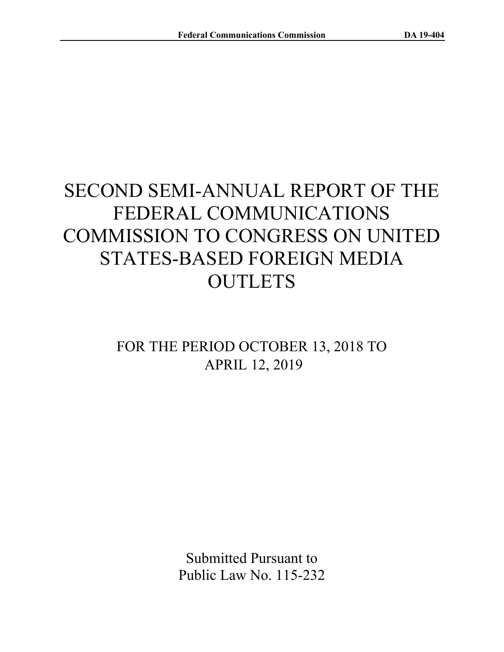# SECOND SEMI-ANNUAL REPORT OF THE FEDERAL COMMUNICATIONS COMMISSION TO CONGRESS ON UNITED STATES-BASED FOREIGN MEDIA **OUTLETS**

## FOR THE PERIOD OCTOBER 13, 2018 TO APRIL 12, 2019

Submitted Pursuant to Public Law No. 115-232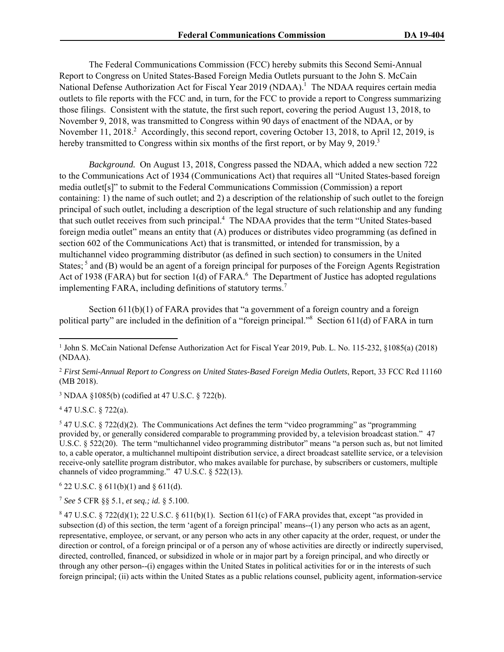The Federal Communications Commission (FCC) hereby submits this Second Semi-Annual Report to Congress on United States-Based Foreign Media Outlets pursuant to the John S. McCain National Defense Authorization Act for Fiscal Year 2019 (NDAA).<sup>1</sup> The NDAA requires certain media outlets to file reports with the FCC and, in turn, for the FCC to provide a report to Congress summarizing those filings. Consistent with the statute, the first such report, covering the period August 13, 2018, to November 9, 2018, was transmitted to Congress within 90 days of enactment of the NDAA, or by November 11, 2018.<sup>2</sup> Accordingly, this second report, covering October 13, 2018, to April 12, 2019, is hereby transmitted to Congress within six months of the first report, or by May 9, 2019.<sup>3</sup>

*Background.* On August 13, 2018, Congress passed the NDAA, which added a new section 722 to the Communications Act of 1934 (Communications Act) that requires all "United States-based foreign media outlet[s]" to submit to the Federal Communications Commission (Commission) a report containing: 1) the name of such outlet; and 2) a description of the relationship of such outlet to the foreign principal of such outlet, including a description of the legal structure of such relationship and any funding that such outlet receives from such principal.<sup>4</sup> The NDAA provides that the term "United States-based foreign media outlet" means an entity that (A) produces or distributes video programming (as defined in section 602 of the Communications Act) that is transmitted, or intended for transmission, by a multichannel video programming distributor (as defined in such section) to consumers in the United States; <sup>5</sup> and (B) would be an agent of a foreign principal for purposes of the Foreign Agents Registration Act of 1938 (FARA) but for section 1(d) of FARA.<sup>6</sup> The Department of Justice has adopted regulations implementing FARA, including definitions of statutory terms.<sup>7</sup>

Section 611(b)(1) of FARA provides that "a government of a foreign country and a foreign political party" are included in the definition of a "foreign principal."<sup>8</sup> Section 611(d) of FARA in turn

3 NDAA §1085(b) (codified at 47 U.S.C. § 722(b).

 $4$  47 U.S.C. § 722(a).

 $547$  U.S.C. § 722(d)(2). The Communications Act defines the term "video programming" as "programming provided by, or generally considered comparable to programming provided by, a television broadcast station." 47 U.S.C. § 522(20). The term "multichannel video programming distributor" means "a person such as, but not limited to, a cable operator, a multichannel multipoint distribution service, a direct broadcast satellite service, or a television receive-only satellite program distributor, who makes available for purchase, by subscribers or customers, multiple channels of video programming." 47 U.S.C. § 522(13).

 $622$  U.S.C. § 611(b)(1) and § 611(d).

<sup>7</sup> *See* 5 CFR §§ 5.1, *et seq.; id.* § 5.100.

 $8$  47 U.S.C. § 722(d)(1); 22 U.S.C. § 611(b)(1). Section 611(c) of FARA provides that, except "as provided in subsection (d) of this section, the term 'agent of a foreign principal' means--(1) any person who acts as an agent, representative, employee, or servant, or any person who acts in any other capacity at the order, request, or under the direction or control, of a foreign principal or of a person any of whose activities are directly or indirectly supervised, directed, controlled, financed, or subsidized in whole or in major part by a foreign principal, and who directly or through any other person--(i) engages within the United States in political activities for or in the interests of such foreign principal; (ii) acts within the United States as a public relations counsel, publicity agent, information-service

<sup>&</sup>lt;sup>1</sup> John S. McCain National Defense Authorization Act for Fiscal Year 2019, Pub. L. No. 115-232, §1085(a) (2018) (NDAA).

<sup>2</sup> *First Semi-Annual Report to Congress on United States-Based Foreign Media Outlets*, Report, 33 FCC Rcd 11160 (MB 2018).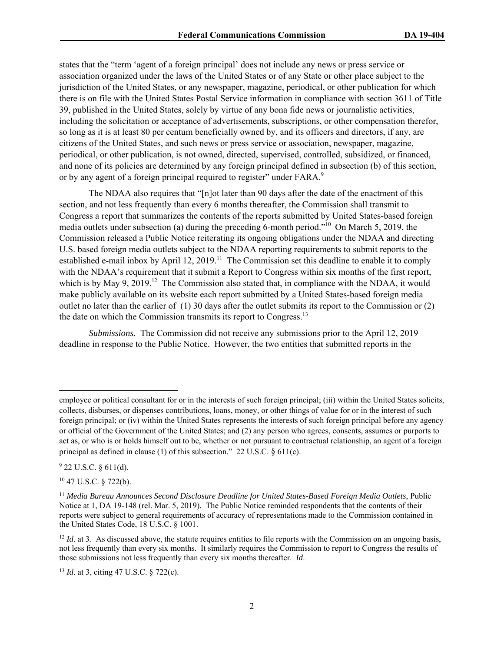states that the "term 'agent of a foreign principal' does not include any news or press service or association organized under the laws of the United States or of any State or other place subject to the jurisdiction of the United States, or any newspaper, magazine, periodical, or other publication for which there is on file with the United States Postal Service information in compliance with section 3611 of Title 39, published in the United States, solely by virtue of any bona fide news or journalistic activities, including the solicitation or acceptance of advertisements, subscriptions, or other compensation therefor, so long as it is at least 80 per centum beneficially owned by, and its officers and directors, if any, are citizens of the United States, and such news or press service or association, newspaper, magazine, periodical, or other publication, is not owned, directed, supervised, controlled, subsidized, or financed, and none of its policies are determined by any foreign principal defined in subsection (b) of this section, or by any agent of a foreign principal required to register" under FARA.<sup>9</sup>

The NDAA also requires that "[n]ot later than 90 days after the date of the enactment of this section, and not less frequently than every 6 months thereafter, the Commission shall transmit to Congress a report that summarizes the contents of the reports submitted by United States-based foreign media outlets under subsection (a) during the preceding 6-month period."10 On March 5, 2019, the Commission released a Public Notice reiterating its ongoing obligations under the NDAA and directing U.S. based foreign media outlets subject to the NDAA reporting requirements to submit reports to the established e-mail inbox by April 12, 2019.<sup>11</sup> The Commission set this deadline to enable it to comply with the NDAA's requirement that it submit a Report to Congress within six months of the first report, which is by May 9, 2019.<sup>12</sup> The Commission also stated that, in compliance with the NDAA, it would make publicly available on its website each report submitted by a United States-based foreign media outlet no later than the earlier of (1) 30 days after the outlet submits its report to the Commission or (2) the date on which the Commission transmits its report to Congress.<sup>13</sup>

*Submissions.* The Commission did not receive any submissions prior to the April 12, 2019 deadline in response to the Public Notice. However, the two entities that submitted reports in the

employee or political consultant for or in the interests of such foreign principal; (iii) within the United States solicits, collects, disburses, or dispenses contributions, loans, money, or other things of value for or in the interest of such foreign principal; or (iv) within the United States represents the interests of such foreign principal before any agency or official of the Government of the United States; and (2) any person who agrees, consents, assumes or purports to act as, or who is or holds himself out to be, whether or not pursuant to contractual relationship, an agent of a foreign principal as defined in clause (1) of this subsection." 22 U.S.C. § 611(c).

 $9$  22 U.S.C. § 611(d).

<sup>10 47</sup> U.S.C. § 722(b).

<sup>11</sup> *Media Bureau Announces Second Disclosure Deadline for United States-Based Foreign Media Outlets*, Public Notice at 1, DA 19-148 (rel. Mar. 5, 2019). The Public Notice reminded respondents that the contents of their reports were subject to general requirements of accuracy of representations made to the Commission contained in the United States Code, 18 U.S.C. § 1001.

<sup>&</sup>lt;sup>12</sup> *Id.* at 3. As discussed above, the statute requires entities to file reports with the Commission on an ongoing basis, not less frequently than every six months. It similarly requires the Commission to report to Congress the results of those submissions not less frequently than every six months thereafter. *Id*.

<sup>13</sup> *Id*. at 3, citing 47 U.S.C. § 722(c).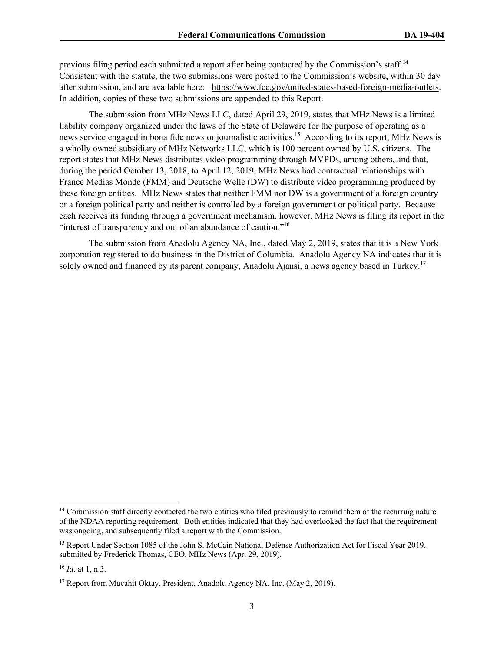previous filing period each submitted a report after being contacted by the Commission's staff.<sup>14</sup> Consistent with the statute, the two submissions were posted to the Commission's website, within 30 day after submission, and are available here: https://www.fcc.gov/united-states-based-foreign-media-outlets. In addition, copies of these two submissions are appended to this Report.

The submission from MHz News LLC, dated April 29, 2019, states that MHz News is a limited liability company organized under the laws of the State of Delaware for the purpose of operating as a news service engaged in bona fide news or journalistic activities.<sup>15</sup> According to its report, MHz News is a wholly owned subsidiary of MHz Networks LLC, which is 100 percent owned by U.S. citizens. The report states that MHz News distributes video programming through MVPDs, among others, and that, during the period October 13, 2018, to April 12, 2019, MHz News had contractual relationships with France Medias Monde (FMM) and Deutsche Welle (DW) to distribute video programming produced by these foreign entities. MHz News states that neither FMM nor DW is a government of a foreign country or a foreign political party and neither is controlled by a foreign government or political party. Because each receives its funding through a government mechanism, however, MHz News is filing its report in the "interest of transparency and out of an abundance of caution."<sup>16</sup>

The submission from Anadolu Agency NA, Inc., dated May 2, 2019, states that it is a New York corporation registered to do business in the District of Columbia. Anadolu Agency NA indicates that it is solely owned and financed by its parent company, Anadolu Ajansi, a news agency based in Turkey.<sup>17</sup>

<sup>&</sup>lt;sup>14</sup> Commission staff directly contacted the two entities who filed previously to remind them of the recurring nature of the NDAA reporting requirement. Both entities indicated that they had overlooked the fact that the requirement was ongoing, and subsequently filed a report with the Commission.

<sup>&</sup>lt;sup>15</sup> Report Under Section 1085 of the John S. McCain National Defense Authorization Act for Fiscal Year 2019, submitted by Frederick Thomas, CEO, MHz News (Apr. 29, 2019).

<sup>16</sup> *Id*. at 1, n.3.

<sup>&</sup>lt;sup>17</sup> Report from Mucahit Oktay, President, Anadolu Agency NA, Inc. (May 2, 2019).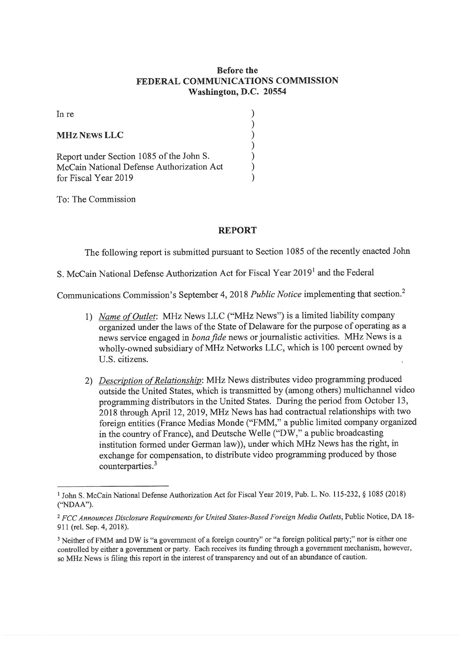#### **Before the** FEDERAL COMMUNICATIONS COMMISSION Washington, D.C. 20554

In re

| <b>MHZ NEWS LLC</b>                       |  |
|-------------------------------------------|--|
| Report under Section 1085 of the John S.  |  |
| McCain National Defense Authorization Act |  |
| for Fiscal Year 2019                      |  |

To: The Commission

#### **REPORT**

The following report is submitted pursuant to Section 1085 of the recently enacted John

### S. McCain National Defense Authorization Act for Fiscal Year 2019<sup>1</sup> and the Federal

Communications Commission's September 4, 2018 Public Notice implementing that section.<sup>2</sup>

- 1) Name of Outlet: MHz News LLC ("MHz News") is a limited liability company organized under the laws of the State of Delaware for the purpose of operating as a news service engaged in bona fide news or journalistic activities. MHz News is a wholly-owned subsidiary of MHz Networks LLC, which is 100 percent owned by U.S. citizens.
- 2) Description of Relationship: MHz News distributes video programming produced outside the United States, which is transmitted by (among others) multichannel video programming distributors in the United States. During the period from October 13, 2018 through April 12, 2019, MHz News has had contractual relationships with two foreign entities (France Medias Monde ("FMM," a public limited company organized in the country of France), and Deutsche Welle ("DW," a public broadcasting institution formed under German law)), under which MHz News has the right, in exchange for compensation, to distribute video programming produced by those counterparties.<sup>3</sup>

<sup>&</sup>lt;sup>1</sup> John S. McCain National Defense Authorization Act for Fiscal Year 2019, Pub. L. No. 115-232, § 1085 (2018) ("NDAA").

<sup>&</sup>lt;sup>2</sup> FCC Announces Disclosure Requirements for United States-Based Foreign Media Outlets, Public Notice, DA 18-911 (rel. Sep. 4, 2018).

<sup>&</sup>lt;sup>3</sup> Neither of FMM and DW is "a government of a foreign country" or "a foreign political party;" nor is either one controlled by either a government or party. Each receives its funding through a government mechanism, however, so MHz News is filing this report in the interest of transparency and out of an abundance of caution.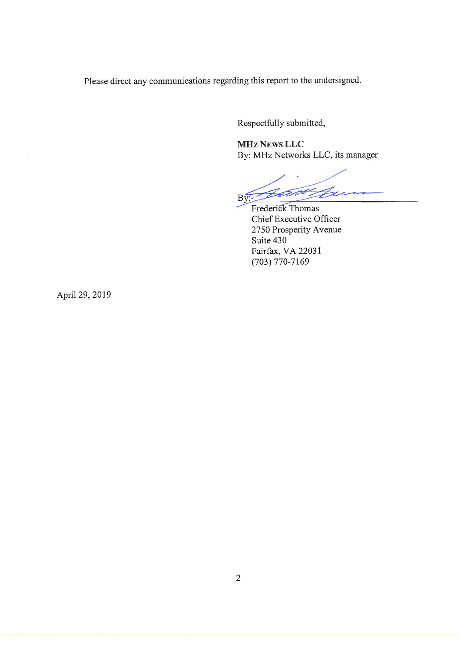Please direct any communications regarding this report to the undersigned.

Respectfully submitted,

**MHz News LLC** By: MHz Networks LLC, its manager

 $\not\leq$  $B\overline{y}$ 

Frederick Thomas Chief Executive Officer 2750 Prosperity Avenue Suite 430 Fairfax, VA 22031  $(703) 770 - 7169$ 

April 29, 2019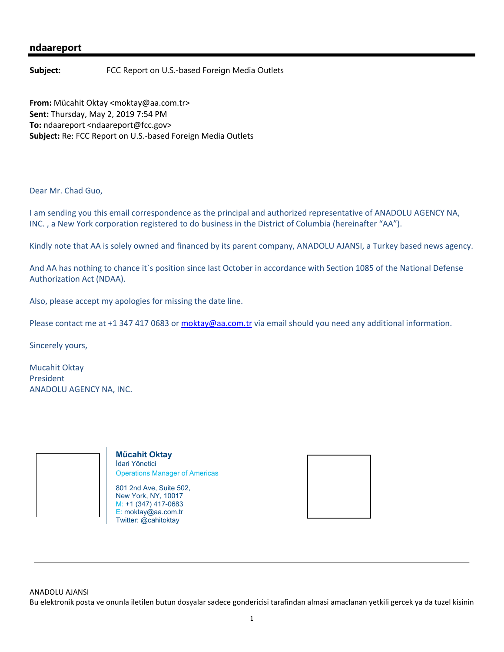#### **ndaareport**

**Subject:** FCC Report on U.S.-based Foreign Media Outlets

**From:** Mücahit Oktay <moktay@aa.com.tr> **Sent:** Thursday, May 2, 2019 7:54 PM **To:** ndaareport <ndaareport@fcc.gov> **Subject:** Re: FCC Report on U.S.‐based Foreign Media Outlets

Dear Mr. Chad Guo,

I am sending you this email correspondence as the principal and authorized representative of ANADOLU AGENCY NA, INC. , a New York corporation registered to do business in the District of Columbia (hereinafter "AA").

Kindly note that AA is solely owned and financed by its parent company, ANADOLU AJANSI, a Turkey based news agency.

And AA has nothing to chance it`s position since last October in accordance with Section 1085 of the National Defense Authorization Act (NDAA).

Also, please accept my apologies for missing the date line.

Please contact me at +1 347 417 0683 or moktay@aa.com.tr via email should you need any additional information.

Sincerely yours,

Mucahit Oktay President ANADOLU AGENCY NA, INC.



**Mücahit Oktay** İdari Yönetici Operations Manager of Americas

801 2nd Ave, Suite 502, New York, NY, 10017 M: +1 (347) 417-0683 E: moktay@aa.com.tr Twitter: @cahitoktay



ANADOLU AJANSI Bu elektronik posta ve onunla iletilen butun dosyalar sadece gondericisi tarafindan almasi amaclanan yetkili gercek ya da tuzel kisinin